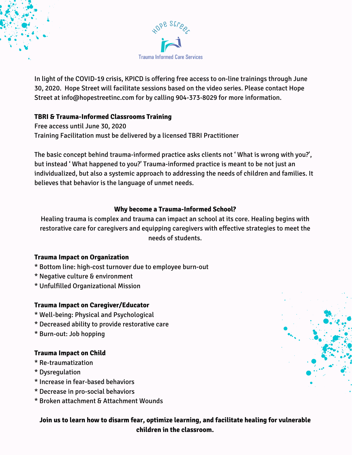

In light of the COVID-19 crisis, KPICD is offering free access to on-line trainings through June 30, 2020. Hope Street will facilitate sessions based on the video series. Please contact Hope Street at info@hopestreetinc.com for by calling 904-373-8029 for more information.

## **TBRI & Trauma-Informed Classrooms Training**

Free access until June 30, 2020 Training Facilitation must be delivered by a licensed TBRI Practitioner

The basic concept behind trauma-informed practice asks clients not ' What is wrong with you?', but instead ' What happened to you?' Trauma-informed practice is meant to be not just an individualized, but also a systemic approach to addressing the needs of children and families. It believes that behavior is the language of unmet needs.

## **Why become a Trauma-Informed School?**

Healing trauma is complex and trauma can impact an school at its core. Healing begins with restorative care for caregivers and equipping caregivers with effective strategies to meet the needs of students.

## **Trauma Impact on Organization**

- \* Bottom line: high-cost turnover due to employee burn-out
- \* Negative culture & environment
- \* Unfulfilled Organizational Mission

## **Trauma Impact on Caregiver/Educator**

- \* Well-being: Physical and Psychological
- \* Decreased ability to provide restorative care
- \* Burn-out: Job hopping

## **Trauma Impact on Child**

- \* Re-traumatization
- \* Dysregulation
- \* Increase in fear-based behaviors
- \* Decrease in pro-social behaviors
- \* Broken attachment & Attachment Wounds

**Join us to learn how to disarm fear, optimize learning, and facilitate healing for vulnerable children in the classroom.**